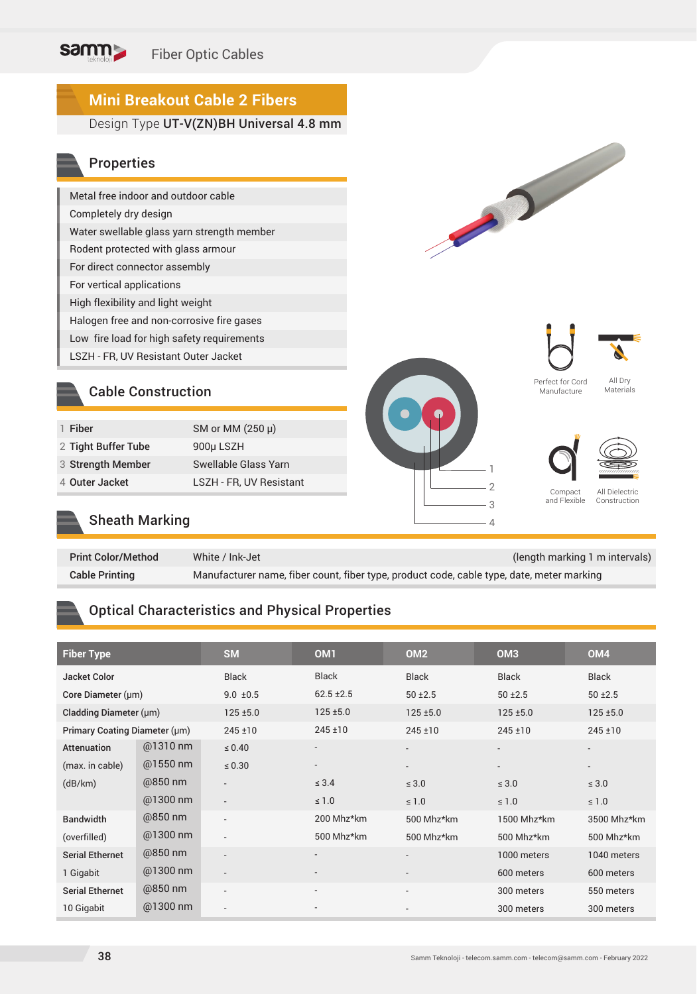# **Mini Breakout Cable 2 Fibers**

Design Type UT-V(ZN)BH Universal 4.8 mm

### Properties

| Metal free indoor and outdoor cable        |
|--------------------------------------------|
| Completely dry design                      |
| Water swellable glass yarn strength member |
| Rodent protected with glass armour         |
| For direct connector assembly              |
| For vertical applications                  |
| High flexibility and light weight          |
| Halogen free and non-corrosive fire gases  |
| Low fire load for high safety requirements |
| LSZH - FR, UV Resistant Outer Jacket       |

### Cable Construction

| 1 Fiber             | SM or MM (250 µ)        |
|---------------------|-------------------------|
| 2 Tight Buffer Tube | 900µ LSZH               |
| 3 Strength Member   | Swellable Glass Yarn    |
| 4 Outer Jacket      | LSZH - FR, UV Resistant |
|                     |                         |







Perfect for Cord Manufacture

All Dry Materials





Compact and Flexible

All Dielectric Construction

# Sheath Marking

| <b>Print Color/Method</b> | White / Ink-Jet                                                                           | (length marking 1 m intervals) |
|---------------------------|-------------------------------------------------------------------------------------------|--------------------------------|
| <b>Cable Printing</b>     | Manufacturer name, fiber count, fiber type, product code, cable type, date, meter marking |                                |

### Optical Characteristics and Physical Properties

| <b>Fiber Type</b>             |            | <b>SM</b>                | OM <sub>1</sub>          | OM <sub>2</sub>          | OM <sub>3</sub>          | OM <sub>4</sub>          |
|-------------------------------|------------|--------------------------|--------------------------|--------------------------|--------------------------|--------------------------|
| <b>Jacket Color</b>           |            | <b>Black</b>             | <b>Black</b>             | <b>Black</b>             | <b>Black</b>             | Black                    |
| Core Diameter (µm)            |            | $9.0 \pm 0.5$            | $62.5 \pm 2.5$           | $50 + 2.5$               | $50 + 2.5$               | $50 + 2.5$               |
| Cladding Diameter (µm)        |            | $125 \pm 5.0$            | $125 \pm 5.0$            | $125 \pm 5.0$            | $125 + 5.0$              | $125 + 5.0$              |
| Primary Coating Diameter (µm) |            | $245 + 10$               | $245 \pm 10$             | 245±10                   | $245 \pm 10$             | $245 \pm 10$             |
| <b>Attenuation</b>            | @1310 nm   | $\leq 0.40$              | $\overline{\phantom{a}}$ | $\overline{\phantom{a}}$ | $\overline{\phantom{0}}$ | $\overline{\phantom{a}}$ |
| (max. in cable)               | $@1550$ nm | $\leq 0.30$              | $\overline{\phantom{a}}$ | $\overline{\phantom{a}}$ |                          | $\overline{\phantom{a}}$ |
| (dB/km)                       | @850 nm    | $\overline{\phantom{a}}$ | $\leq 3.4$               | $\leq 3.0$               | $\leq 3.0$               | $\leq 3.0$               |
|                               | @1300 nm   | $\overline{\phantom{a}}$ | $\leq 1.0$               | $\leq 1.0$               | $\leq 1.0$               | $\leq 1.0$               |
| <b>Bandwidth</b>              | @850 nm    | $\overline{a}$           | 200 Mhz*km               | 500 Mhz*km               | 1500 Mhz*km              | 3500 Mhz*km              |
| (overfilled)                  | @1300 nm   | $\overline{\phantom{a}}$ | 500 Mhz*km               | 500 Mhz*km               | 500 Mhz*km               | 500 Mhz*km               |
| <b>Serial Ethernet</b>        | @850 nm    | $\overline{\phantom{a}}$ | $\overline{\phantom{a}}$ | $\overline{\phantom{a}}$ | 1000 meters              | 1040 meters              |
| 1 Gigabit                     | $@1300$ nm | $\overline{\phantom{a}}$ |                          | $\overline{\phantom{a}}$ | 600 meters               | 600 meters               |
| <b>Serial Ethernet</b>        | @850 nm    | $\overline{\phantom{a}}$ | $\overline{\phantom{a}}$ | $\overline{\phantom{a}}$ | 300 meters               | 550 meters               |
| 10 Gigabit                    | $@1300$ nm | $\overline{\phantom{a}}$ |                          |                          | 300 meters               | 300 meters               |